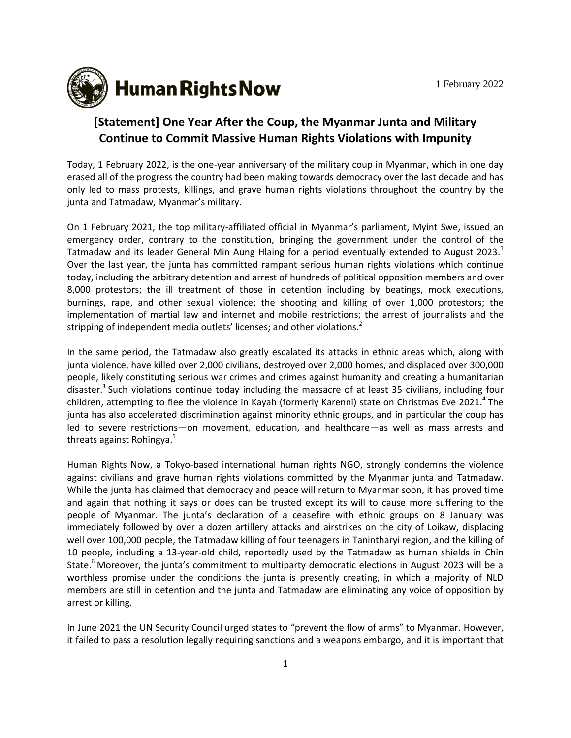

## **[Statement] One Year After the Coup, the Myanmar Junta and Military Continue to Commit Massive Human Rights Violations with Impunity**

Today, 1 February 2022, is the one-year anniversary of the military coup in Myanmar, which in one day erased all of the progress the country had been making towards democracy over the last decade and has only led to mass protests, killings, and grave human rights violations throughout the country by the junta and Tatmadaw, Myanmar's military.

On 1 February 2021, the top military-affiliated official in Myanmar's parliament, Myint Swe, issued an emergency order, contrary to the constitution, bringing the government under the control of the Tatmadaw and its leader General Min Aung Hlaing for a period eventually extended to August 2023.<sup>1</sup> Over the last year, the junta has committed rampant serious human rights violations which continue today, including the arbitrary detention and arrest of hundreds of political opposition members and over 8,000 protestors; the ill treatment of those in detention including by beatings, mock executions, burnings, rape, and other sexual violence; the shooting and killing of over 1,000 protestors; the implementation of martial law and internet and mobile restrictions; the arrest of journalists and the stripping of independent media outlets' licenses; and other violations.<sup>2</sup>

In the same period, the Tatmadaw also greatly escalated its attacks in ethnic areas which, along with junta violence, have killed over 2,000 civilians, destroyed over 2,000 homes, and displaced over 300,000 people, likely constituting serious war crimes and crimes against humanity and creating a humanitarian disaster.<sup>3</sup> Such violations continue today including the massacre of at least 35 civilians, including four children, attempting to flee the violence in Kayah (formerly Karenni) state on Christmas Eve 2021.<sup>4</sup> The junta has also accelerated discrimination against minority ethnic groups, and in particular the coup has led to severe restrictions—on movement, education, and healthcare—as well as mass arrests and threats against Rohingya. $5$ 

Human Rights Now, a Tokyo-based international human rights NGO, strongly condemns the violence against civilians and grave human rights violations committed by the Myanmar junta and Tatmadaw. While the junta has claimed that democracy and peace will return to Myanmar soon, it has proved time and again that nothing it says or does can be trusted except its will to cause more suffering to the people of Myanmar. The junta's declaration of a ceasefire with ethnic groups on 8 January was immediately followed by over a dozen artillery attacks and airstrikes on the city of Loikaw, displacing well over 100,000 people, the Tatmadaw killing of four teenagers in Tanintharyi region, and the killing of 10 people, including a 13-year-old child, reportedly used by the Tatmadaw as human shields in Chin State.<sup>6</sup> Moreover, the junta's commitment to multiparty democratic elections in August 2023 will be a worthless promise under the conditions the junta is presently creating, in which a majority of NLD members are still in detention and the junta and Tatmadaw are eliminating any voice of opposition by arrest or killing.

In June 2021 the UN Security Council urged states to "prevent the flow of arms" to Myanmar. However, it failed to pass a resolution legally requiring sanctions and a weapons embargo, and it is important that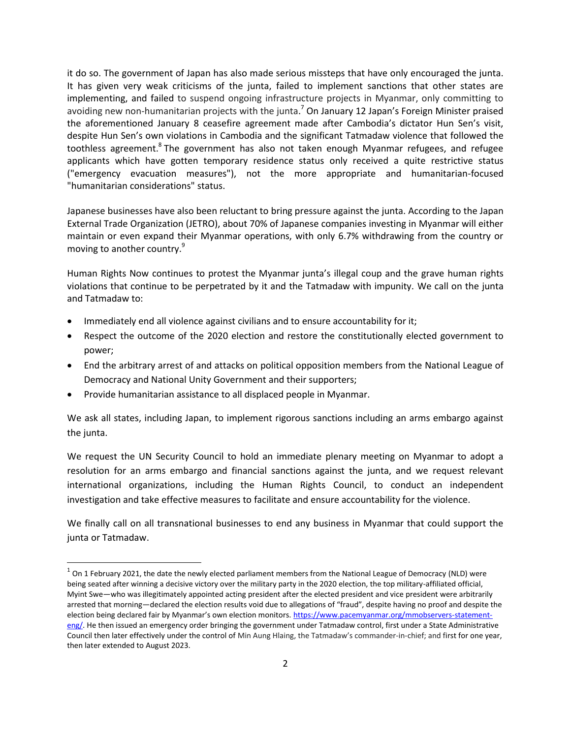it do so. The government of Japan has also made serious missteps that have only encouraged the junta. It has given very weak criticisms of the junta, failed to implement sanctions that other states are implementing, and failed to suspend ongoing infrastructure projects in Myanmar, only committing to avoiding new non-humanitarian projects with the junta.<sup>7</sup> On January 12 Japan's Foreign Minister praised the aforementioned January 8 ceasefire agreement made after Cambodia's dictator Hun Sen's visit, despite Hun Sen's own violations in Cambodia and the significant Tatmadaw violence that followed the toothless agreement.<sup>8</sup> The government has also not taken enough Myanmar refugees, and refugee applicants which have gotten temporary residence status only received a quite restrictive status ("emergency evacuation measures"), not the more appropriate and humanitarian-focused "humanitarian considerations" status.

Japanese businesses have also been reluctant to bring pressure against the junta. According to the Japan External Trade Organization (JETRO), about 70% of Japanese companies investing in Myanmar will either maintain or even expand their Myanmar operations, with only 6.7% withdrawing from the country or moving to another country.<sup>9</sup>

Human Rights Now continues to protest the Myanmar junta's illegal coup and the grave human rights violations that continue to be perpetrated by it and the Tatmadaw with impunity. We call on the junta and Tatmadaw to:

- Immediately end all violence against civilians and to ensure accountability for it;
- Respect the outcome of the 2020 election and restore the constitutionally elected government to power;
- End the arbitrary arrest of and attacks on political opposition members from the National League of Democracy and National Unity Government and their supporters;
- Provide humanitarian assistance to all displaced people in Myanmar.

 $\overline{\phantom{a}}$ 

We ask all states, including Japan, to implement rigorous sanctions including an arms embargo against the junta.

We request the UN Security Council to hold an immediate plenary meeting on Myanmar to adopt a resolution for an arms embargo and financial sanctions against the junta, and we request relevant international organizations, including the Human Rights Council, to conduct an independent investigation and take effective measures to facilitate and ensure accountability for the violence.

We finally call on all transnational businesses to end any business in Myanmar that could support the junta or Tatmadaw.

 $^1$  On 1 February 2021, the date the newly elected parliament members from the National League of Democracy (NLD) were being seated after winning a decisive victory over the military party in the 2020 election, the top military-affiliated official, Myint Swe—who was illegitimately appointed acting president after the elected president and vice president were arbitrarily arrested that morning—declared the election results void due to allegations of "fraud", despite having no proof and despite the election being declared fair by Myanmar's own election monitors. [https://www.pacemyanmar.org/mmobservers-statement](https://www.pacemyanmar.org/mmobservers-statement-eng/)[eng/.](https://www.pacemyanmar.org/mmobservers-statement-eng/) He then issued an emergency order bringing the government under Tatmadaw control, first under a State Administrative Council then later effectively under the control of Min Aung Hlaing, the Tatmadaw's commander-in-chief; and first for one year, then later extended to August 2023.